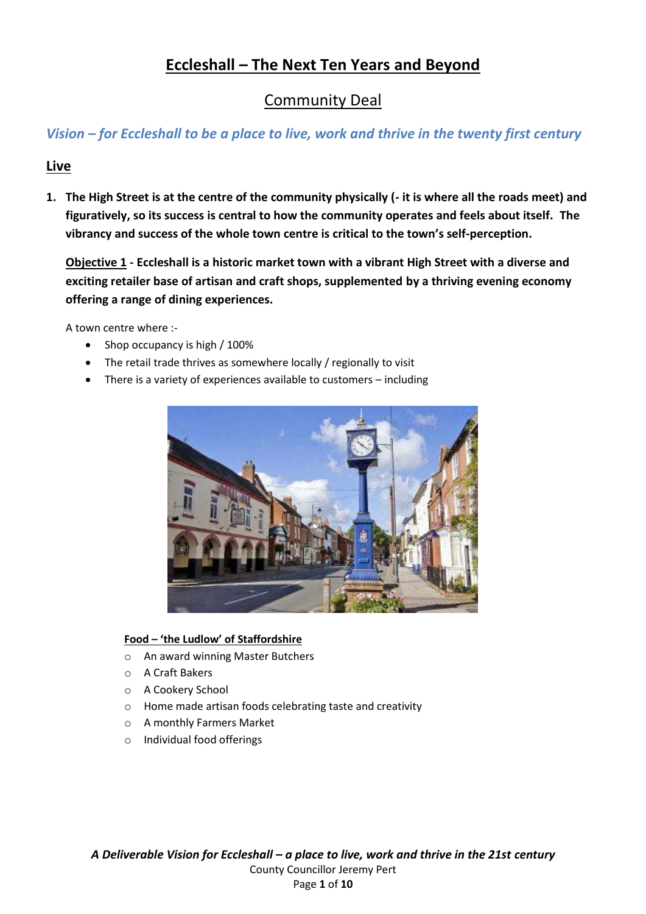# **Eccleshall – The Next Ten Years and Beyond**

# Community Deal

## *Vision – for Eccleshall to be a place to live, work and thrive in the twenty first century*

### **Live**

**1. The High Street is at the centre of the community physically (- it is where all the roads meet) and figuratively, so its success is central to how the community operates and feels about itself. The vibrancy and success of the whole town centre is critical to the town's self-perception.**

**Objective 1 - Eccleshall is a historic market town with a vibrant High Street with a diverse and exciting retailer base of artisan and craft shops, supplemented by a thriving evening economy offering a range of dining experiences.**

A town centre where :-

- Shop occupancy is high / 100%
- The retail trade thrives as somewhere locally / regionally to visit
- There is a variety of experiences available to customers including



#### **Food – 'the Ludlow' of Staffordshire**

- o An award winning Master Butchers
- o A Craft Bakers
- o A Cookery School
- o Home made artisan foods celebrating taste and creativity
- o A monthly Farmers Market
- o Individual food offerings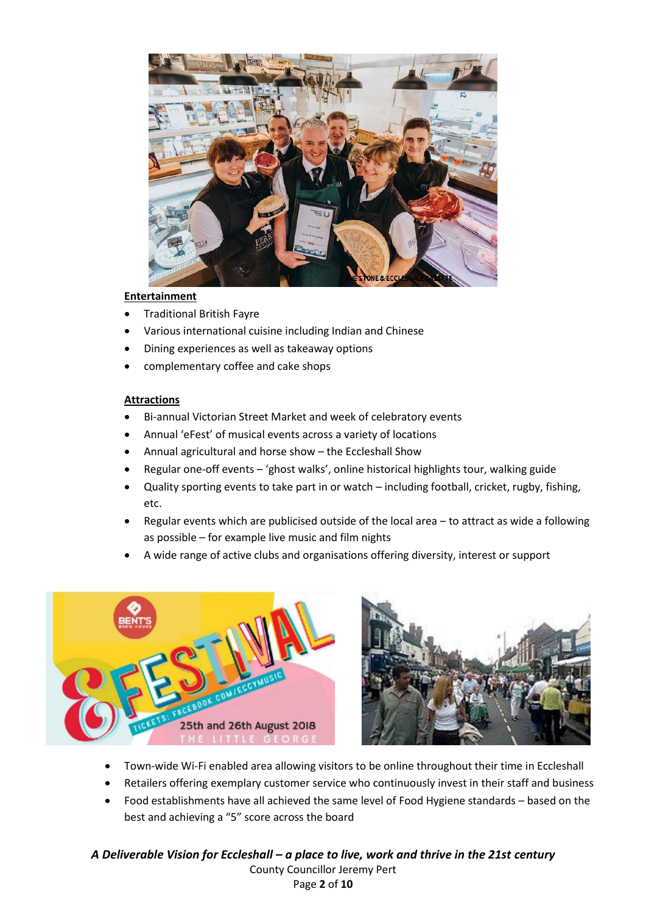

#### **Entertainment**

- Traditional British Fayre
- Various international cuisine including Indian and Chinese
- Dining experiences as well as takeaway options
- complementary coffee and cake shops

#### **Attractions**

- Bi-annual Victorian Street Market and week of celebratory events
- Annual 'eFest' of musical events across a variety of locations
- Annual agricultural and horse show the Eccleshall Show
- Regular one-off events 'ghost walks', online historical highlights tour, walking guide
- Quality sporting events to take part in or watch including football, cricket, rugby, fishing, etc.
- Regular events which are publicised outside of the local area to attract as wide a following as possible – for example live music and film nights
- A wide range of active clubs and organisations offering diversity, interest or support





- Town-wide Wi-Fi enabled area allowing visitors to be online throughout their time in Eccleshall
- Retailers offering exemplary customer service who continuously invest in their staff and business
- Food establishments have all achieved the same level of Food Hygiene standards based on the best and achieving a "5" score across the board

*A Deliverable Vision for Eccleshall – a place to live, work and thrive in the 21st century* County Councillor Jeremy Pert Page **2** of **10**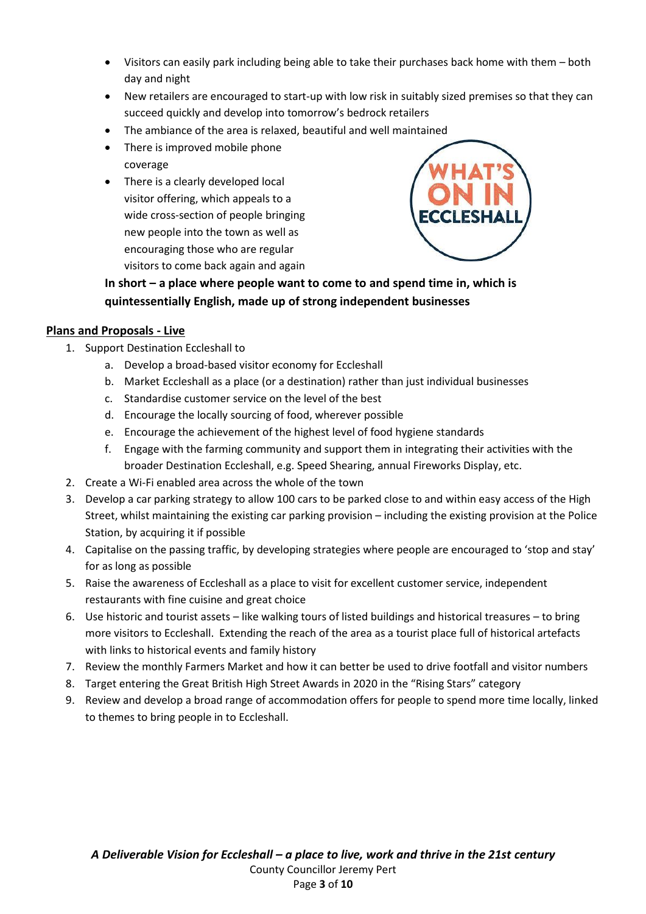- Visitors can easily park including being able to take their purchases back home with them both day and night
- New retailers are encouraged to start-up with low risk in suitably sized premises so that they can succeed quickly and develop into tomorrow's bedrock retailers
- The ambiance of the area is relaxed, beautiful and well maintained
- There is improved mobile phone coverage
- There is a clearly developed local visitor offering, which appeals to a wide cross-section of people bringing new people into the town as well as encouraging those who are regular visitors to come back again and again



**In short – a place where people want to come to and spend time in, which is quintessentially English, made up of strong independent businesses**

### **Plans and Proposals - Live**

- 1. Support Destination Eccleshall to
	- a. Develop a broad-based visitor economy for Eccleshall
	- b. Market Eccleshall as a place (or a destination) rather than just individual businesses
	- c. Standardise customer service on the level of the best
	- d. Encourage the locally sourcing of food, wherever possible
	- e. Encourage the achievement of the highest level of food hygiene standards
	- f. Engage with the farming community and support them in integrating their activities with the broader Destination Eccleshall, e.g. Speed Shearing, annual Fireworks Display, etc.
- 2. Create a Wi-Fi enabled area across the whole of the town
- 3. Develop a car parking strategy to allow 100 cars to be parked close to and within easy access of the High Street, whilst maintaining the existing car parking provision – including the existing provision at the Police Station, by acquiring it if possible
- 4. Capitalise on the passing traffic, by developing strategies where people are encouraged to 'stop and stay' for as long as possible
- 5. Raise the awareness of Eccleshall as a place to visit for excellent customer service, independent restaurants with fine cuisine and great choice
- 6. Use historic and tourist assets like walking tours of listed buildings and historical treasures to bring more visitors to Eccleshall. Extending the reach of the area as a tourist place full of historical artefacts with links to historical events and family history
- 7. Review the monthly Farmers Market and how it can better be used to drive footfall and visitor numbers
- 8. Target entering the Great British High Street Awards in 2020 in the "Rising Stars" category
- 9. Review and develop a broad range of accommodation offers for people to spend more time locally, linked to themes to bring people in to Eccleshall.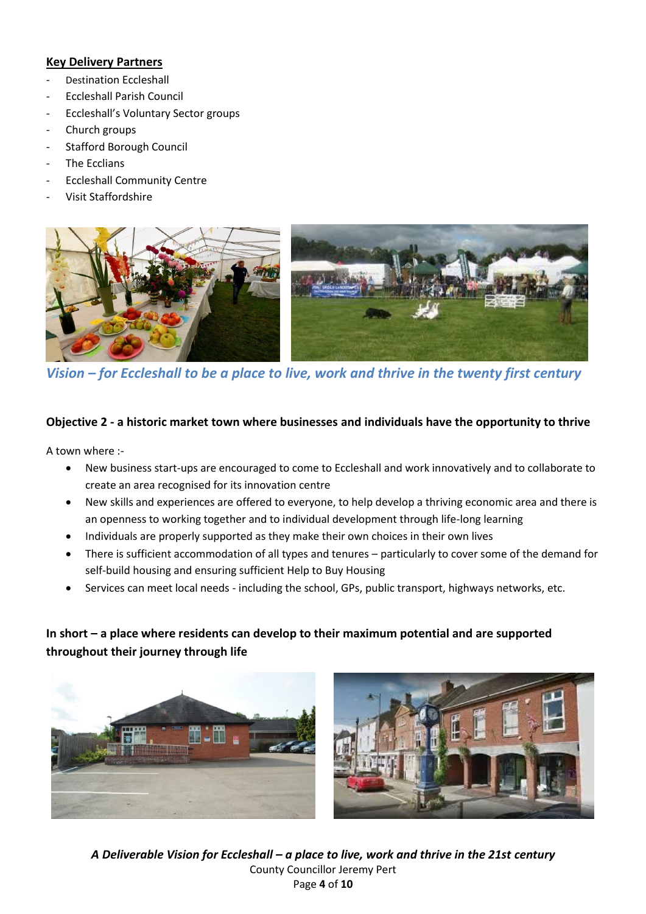### **Key Delivery Partners**

- Destination Eccleshall
- Eccleshall Parish Council
- Eccleshall's Voluntary Sector groups
- Church groups
- Stafford Borough Council
- The Ecclians
- Eccleshall Community Centre
- Visit Staffordshire



*Vision – for Eccleshall to be a place to live, work and thrive in the twenty first century*

### **Objective 2 - a historic market town where businesses and individuals have the opportunity to thrive**

A town where :-

- New business start-ups are encouraged to come to Eccleshall and work innovatively and to collaborate to create an area recognised for its innovation centre
- New skills and experiences are offered to everyone, to help develop a thriving economic area and there is an openness to working together and to individual development through life-long learning
- Individuals are properly supported as they make their own choices in their own lives
- There is sufficient accommodation of all types and tenures particularly to cover some of the demand for self-build housing and ensuring sufficient Help to Buy Housing
- Services can meet local needs including the school, GPs, public transport, highways networks, etc.

### **In short – a place where residents can develop to their maximum potential and are supported throughout their journey through life**





*A Deliverable Vision for Eccleshall – a place to live, work and thrive in the 21st century* County Councillor Jeremy Pert Page **4** of **10**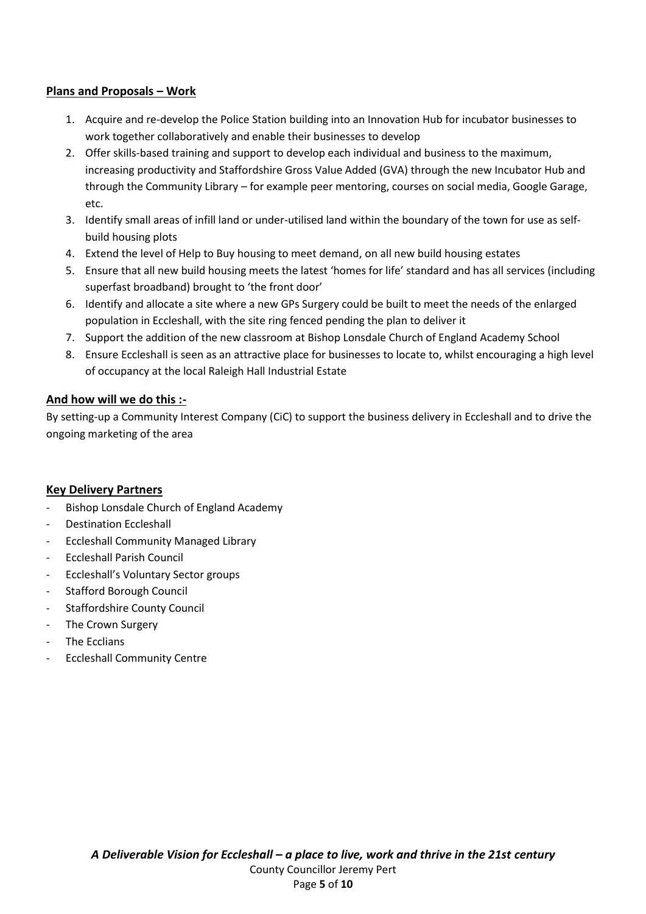### **Plans and Proposals – Work**

- 1. Acquire and re-develop the Police Station building into an Innovation Hub for incubator businesses to work together collaboratively and enable their businesses to develop
- 2. Offer skills-based training and support to develop each individual and business to the maximum, increasing productivity and Staffordshire Gross Value Added (GVA) through the new Incubator Hub and through the Community Library – for example peer mentoring, courses on social media, Google Garage, etc.
- 3. Identify small areas of infill land or under-utilised land within the boundary of the town for use as selfbuild housing plots
- 4. Extend the level of Help to Buy housing to meet demand, on all new build housing estates
- 5. Ensure that all new build housing meets the latest 'homes for life' standard and has all services (including superfast broadband) brought to 'the front door'
- 6. Identify and allocate a site where a new GPs Surgery could be built to meet the needs of the enlarged population in Eccleshall, with the site ring fenced pending the plan to deliver it
- 7. Support the addition of the new classroom at Bishop Lonsdale Church of England Academy School
- 8. Ensure Eccleshall is seen as an attractive place for businesses to locate to, whilst encouraging a high level of occupancy at the local Raleigh Hall Industrial Estate

### **And how will we do this :-**

By setting-up a Community Interest Company (CiC) to support the business delivery in Eccleshall and to drive the ongoing marketing of the area

#### **Key Delivery Partners**

- Bishop Lonsdale Church of England Academy
- Destination Eccleshall
- Eccleshall Community Managed Library
- Eccleshall Parish Council
- Eccleshall's Voluntary Sector groups
- Stafford Borough Council
- Staffordshire County Council
- The Crown Surgery
- The Ecclians
- Eccleshall Community Centre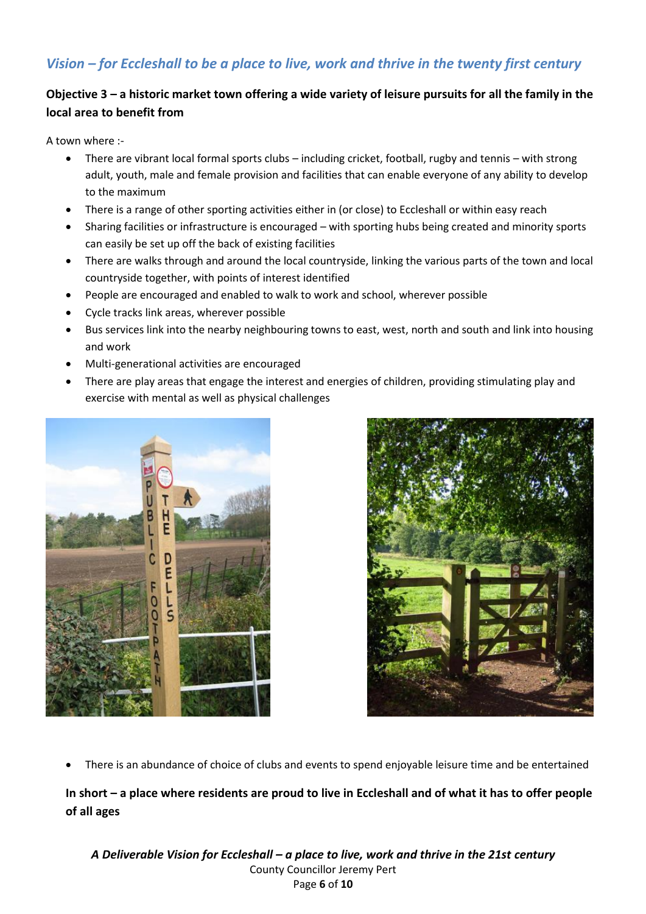## *Vision – for Eccleshall to be a place to live, work and thrive in the twenty first century*

### **Objective 3 – a historic market town offering a wide variety of leisure pursuits for all the family in the local area to benefit from**

A town where :-

- There are vibrant local formal sports clubs including cricket, football, rugby and tennis with strong adult, youth, male and female provision and facilities that can enable everyone of any ability to develop to the maximum
- There is a range of other sporting activities either in (or close) to Eccleshall or within easy reach
- Sharing facilities or infrastructure is encouraged with sporting hubs being created and minority sports can easily be set up off the back of existing facilities
- There are walks through and around the local countryside, linking the various parts of the town and local countryside together, with points of interest identified
- People are encouraged and enabled to walk to work and school, wherever possible
- Cycle tracks link areas, wherever possible
- Bus services link into the nearby neighbouring towns to east, west, north and south and link into housing and work
- Multi-generational activities are encouraged
- There are play areas that engage the interest and energies of children, providing stimulating play and exercise with mental as well as physical challenges





• There is an abundance of choice of clubs and events to spend enjoyable leisure time and be entertained

**In short – a place where residents are proud to live in Eccleshall and of what it has to offer people of all ages**

*A Deliverable Vision for Eccleshall – a place to live, work and thrive in the 21st century* County Councillor Jeremy Pert Page **6** of **10**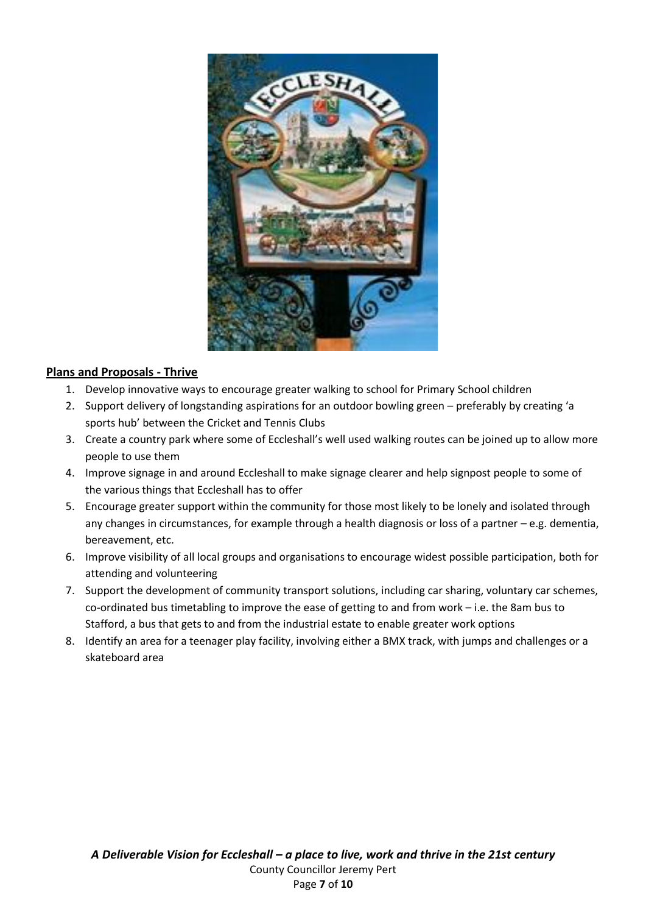

### **Plans and Proposals - Thrive**

- 1. Develop innovative ways to encourage greater walking to school for Primary School children
- 2. Support delivery of longstanding aspirations for an outdoor bowling green preferably by creating 'a sports hub' between the Cricket and Tennis Clubs
- 3. Create a country park where some of Eccleshall's well used walking routes can be joined up to allow more people to use them
- 4. Improve signage in and around Eccleshall to make signage clearer and help signpost people to some of the various things that Eccleshall has to offer
- 5. Encourage greater support within the community for those most likely to be lonely and isolated through any changes in circumstances, for example through a health diagnosis or loss of a partner – e.g. dementia, bereavement, etc.
- 6. Improve visibility of all local groups and organisations to encourage widest possible participation, both for attending and volunteering
- 7. Support the development of community transport solutions, including car sharing, voluntary car schemes, co-ordinated bus timetabling to improve the ease of getting to and from work – i.e. the 8am bus to Stafford, a bus that gets to and from the industrial estate to enable greater work options
- 8. Identify an area for a teenager play facility, involving either a BMX track, with jumps and challenges or a skateboard area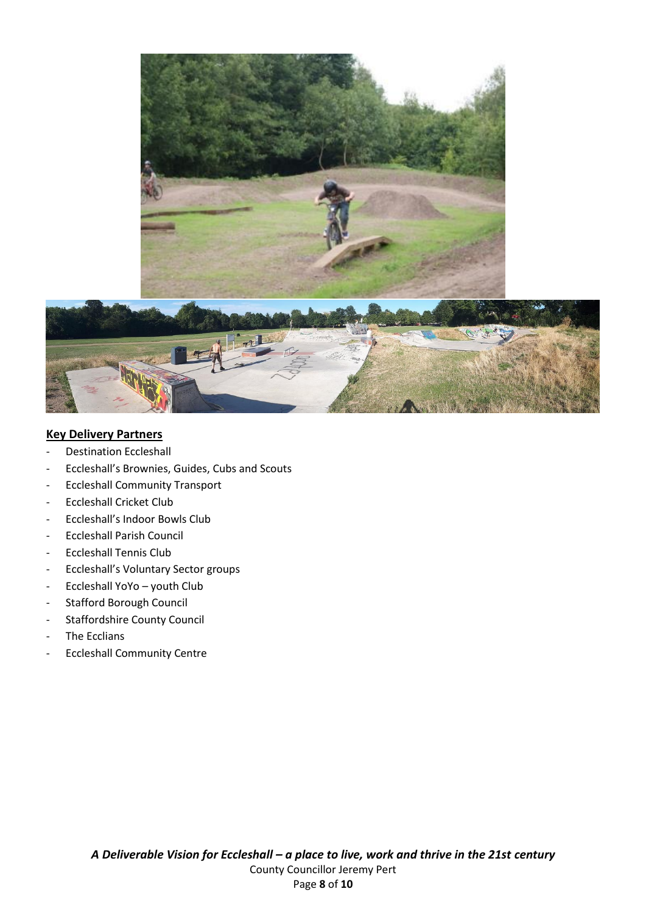

### **Key Delivery Partners**

- Destination Eccleshall
- Eccleshall's Brownies, Guides, Cubs and Scouts
- Eccleshall Community Transport
- Eccleshall Cricket Club
- Eccleshall's Indoor Bowls Club
- Eccleshall Parish Council
- Eccleshall Tennis Club
- Eccleshall's Voluntary Sector groups
- Eccleshall YoYo youth Club
- Stafford Borough Council
- Staffordshire County Council
- The Ecclians
- Eccleshall Community Centre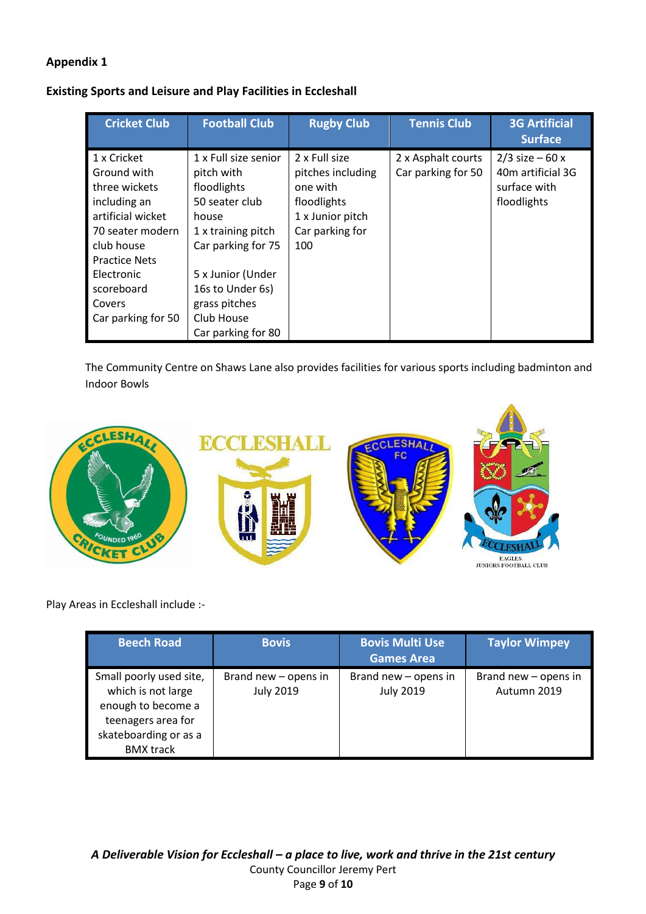### **Appendix 1**

| <b>Existing Sports and Leisure and Play Facilities in Eccleshall</b> |  |
|----------------------------------------------------------------------|--|
|----------------------------------------------------------------------|--|

| <b>Cricket Club</b>                                                                                                                                                                                    | <b>Football Club</b>                                                                                                                                                                                                   | <b>Rugby Club</b>                                                                                           | <b>Tennis Club</b>                       | <b>3G Artificial</b><br><b>Surface</b>                                |
|--------------------------------------------------------------------------------------------------------------------------------------------------------------------------------------------------------|------------------------------------------------------------------------------------------------------------------------------------------------------------------------------------------------------------------------|-------------------------------------------------------------------------------------------------------------|------------------------------------------|-----------------------------------------------------------------------|
| 1 x Cricket<br>Ground with<br>three wickets<br>including an<br>artificial wicket<br>70 seater modern<br>club house<br><b>Practice Nets</b><br>Electronic<br>scoreboard<br>Covers<br>Car parking for 50 | 1 x Full size senior<br>pitch with<br>floodlights<br>50 seater club<br>house<br>1 x training pitch<br>Car parking for 75<br>5 x Junior (Under<br>16s to Under 6s)<br>grass pitches<br>Club House<br>Car parking for 80 | 2 x Full size<br>pitches including<br>one with<br>floodlights<br>1 x Junior pitch<br>Car parking for<br>100 | 2 x Asphalt courts<br>Car parking for 50 | $2/3$ size – 60 x<br>40m artificial 3G<br>surface with<br>floodlights |

The Community Centre on Shaws Lane also provides facilities for various sports including badminton and Indoor Bowls



Play Areas in Eccleshall include :-

| <b>Beech Road</b>                                                                                                                      | <b>Bovis</b>                             | <b>Bovis Multi Use</b><br><b>Games Area</b> | <b>Taylor Wimpey</b>                |
|----------------------------------------------------------------------------------------------------------------------------------------|------------------------------------------|---------------------------------------------|-------------------------------------|
| Small poorly used site,<br>which is not large<br>enough to become a<br>teenagers area for<br>skateboarding or as a<br><b>BMX</b> track | Brand new - opens in<br><b>July 2019</b> | Brand new - opens in<br><b>July 2019</b>    | Brand new - opens in<br>Autumn 2019 |